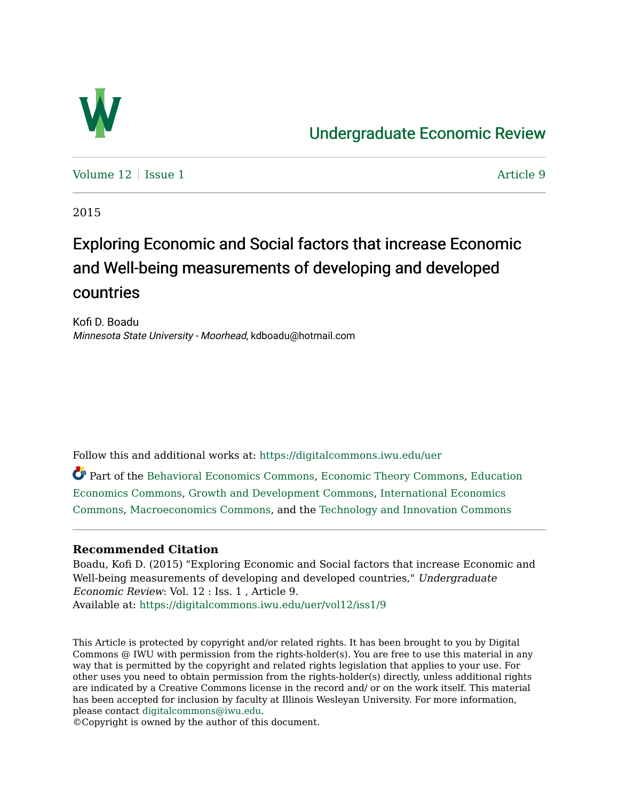

## [Undergraduate Economic Review](https://digitalcommons.iwu.edu/uer)

[Volume 12](https://digitalcommons.iwu.edu/uer/vol12) | [Issue 1](https://digitalcommons.iwu.edu/uer/vol12/iss1) Article 9

2015

# Exploring Economic and Social factors that increase Economic and Well-being measurements of developing and developed countries

Kofi D. Boadu Minnesota State University - Moorhead, kdboadu@hotmail.com

Follow this and additional works at: [https://digitalcommons.iwu.edu/uer](https://digitalcommons.iwu.edu/uer?utm_source=digitalcommons.iwu.edu%2Fuer%2Fvol12%2Fiss1%2F9&utm_medium=PDF&utm_campaign=PDFCoverPages)

Part of the [Behavioral Economics Commons](http://network.bepress.com/hgg/discipline/341?utm_source=digitalcommons.iwu.edu%2Fuer%2Fvol12%2Fiss1%2F9&utm_medium=PDF&utm_campaign=PDFCoverPages), [Economic Theory Commons](http://network.bepress.com/hgg/discipline/344?utm_source=digitalcommons.iwu.edu%2Fuer%2Fvol12%2Fiss1%2F9&utm_medium=PDF&utm_campaign=PDFCoverPages), [Education](http://network.bepress.com/hgg/discipline/1262?utm_source=digitalcommons.iwu.edu%2Fuer%2Fvol12%2Fiss1%2F9&utm_medium=PDF&utm_campaign=PDFCoverPages) [Economics Commons](http://network.bepress.com/hgg/discipline/1262?utm_source=digitalcommons.iwu.edu%2Fuer%2Fvol12%2Fiss1%2F9&utm_medium=PDF&utm_campaign=PDFCoverPages), [Growth and Development Commons,](http://network.bepress.com/hgg/discipline/346?utm_source=digitalcommons.iwu.edu%2Fuer%2Fvol12%2Fiss1%2F9&utm_medium=PDF&utm_campaign=PDFCoverPages) [International Economics](http://network.bepress.com/hgg/discipline/348?utm_source=digitalcommons.iwu.edu%2Fuer%2Fvol12%2Fiss1%2F9&utm_medium=PDF&utm_campaign=PDFCoverPages)  [Commons](http://network.bepress.com/hgg/discipline/348?utm_source=digitalcommons.iwu.edu%2Fuer%2Fvol12%2Fiss1%2F9&utm_medium=PDF&utm_campaign=PDFCoverPages), [Macroeconomics Commons](http://network.bepress.com/hgg/discipline/350?utm_source=digitalcommons.iwu.edu%2Fuer%2Fvol12%2Fiss1%2F9&utm_medium=PDF&utm_campaign=PDFCoverPages), and the [Technology and Innovation Commons](http://network.bepress.com/hgg/discipline/644?utm_source=digitalcommons.iwu.edu%2Fuer%2Fvol12%2Fiss1%2F9&utm_medium=PDF&utm_campaign=PDFCoverPages)

#### **Recommended Citation**

Boadu, Kofi D. (2015) "Exploring Economic and Social factors that increase Economic and Well-being measurements of developing and developed countries," Undergraduate Economic Review: Vol. 12 : Iss. 1 , Article 9. Available at: [https://digitalcommons.iwu.edu/uer/vol12/iss1/9](https://digitalcommons.iwu.edu/uer/vol12/iss1/9?utm_source=digitalcommons.iwu.edu%2Fuer%2Fvol12%2Fiss1%2F9&utm_medium=PDF&utm_campaign=PDFCoverPages)

This Article is protected by copyright and/or related rights. It has been brought to you by Digital Commons @ IWU with permission from the rights-holder(s). You are free to use this material in any way that is permitted by the copyright and related rights legislation that applies to your use. For other uses you need to obtain permission from the rights-holder(s) directly, unless additional rights are indicated by a Creative Commons license in the record and/ or on the work itself. This material has been accepted for inclusion by faculty at Illinois Wesleyan University. For more information, please contact [digitalcommons@iwu.edu.](mailto:digitalcommons@iwu.edu)

©Copyright is owned by the author of this document.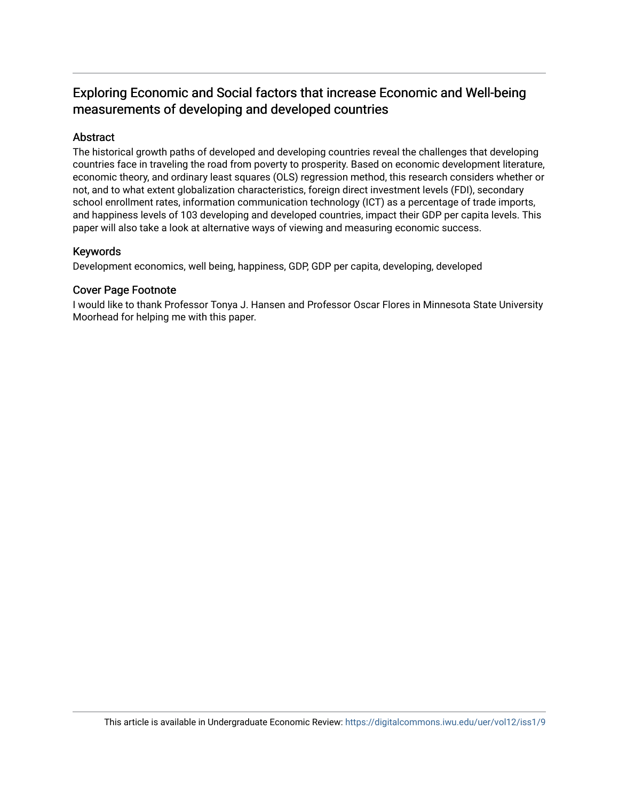### Exploring Economic and Social factors that increase Economic and Well-being measurements of developing and developed countries

#### Abstract

The historical growth paths of developed and developing countries reveal the challenges that developing countries face in traveling the road from poverty to prosperity. Based on economic development literature, economic theory, and ordinary least squares (OLS) regression method, this research considers whether or not, and to what extent globalization characteristics, foreign direct investment levels (FDI), secondary school enrollment rates, information communication technology (ICT) as a percentage of trade imports, and happiness levels of 103 developing and developed countries, impact their GDP per capita levels. This paper will also take a look at alternative ways of viewing and measuring economic success.

#### Keywords

Development economics, well being, happiness, GDP, GDP per capita, developing, developed

#### Cover Page Footnote

I would like to thank Professor Tonya J. Hansen and Professor Oscar Flores in Minnesota State University Moorhead for helping me with this paper.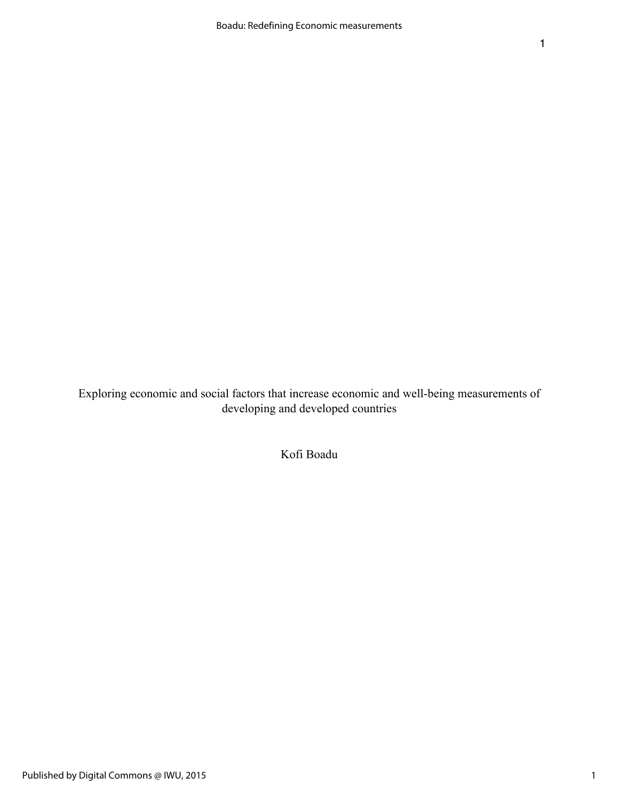Exploring economic and social factors that increase economic and well-being measurements of developing and developed countries

Kofi Boadu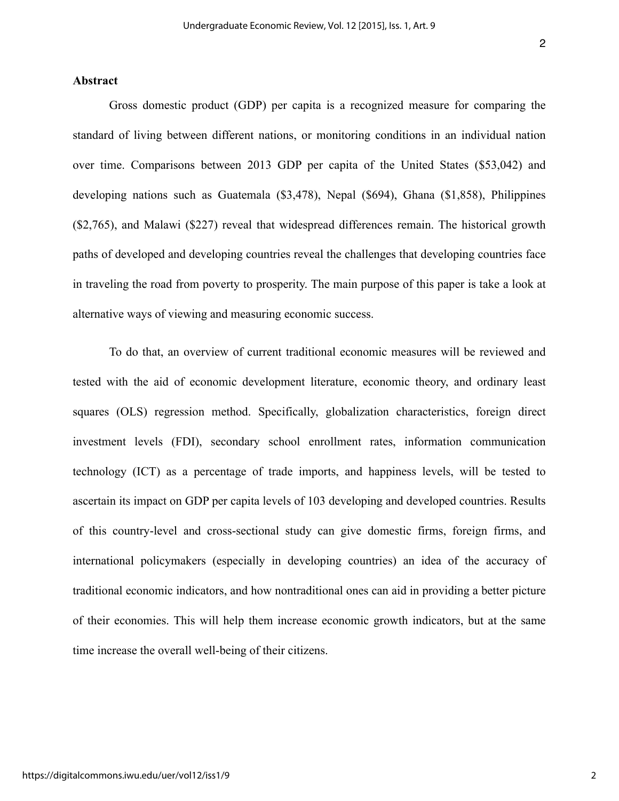#### **Abstract**

Gross domestic product (GDP) per capita is a recognized measure for comparing the standard of living between different nations, or monitoring conditions in an individual nation over time. Comparisons between 2013 GDP per capita of the United States (\$53,042) and developing nations such as Guatemala (\$3,478), Nepal (\$694), Ghana (\$1,858), Philippines (\$2,765), and Malawi (\$227) reveal that widespread differences remain. The historical growth paths of developed and developing countries reveal the challenges that developing countries face in traveling the road from poverty to prosperity. The main purpose of this paper is take a look at alternative ways of viewing and measuring economic success.

To do that, an overview of current traditional economic measures will be reviewed and tested with the aid of economic development literature, economic theory, and ordinary least squares (OLS) regression method. Specifically, globalization characteristics, foreign direct investment levels (FDI), secondary school enrollment rates, information communication technology (ICT) as a percentage of trade imports, and happiness levels, will be tested to ascertain its impact on GDP per capita levels of 103 developing and developed countries. Results of this country-level and cross-sectional study can give domestic firms, foreign firms, and international policymakers (especially in developing countries) an idea of the accuracy of traditional economic indicators, and how nontraditional ones can aid in providing a better picture of their economies. This will help them increase economic growth indicators, but at the same time increase the overall well-being of their citizens.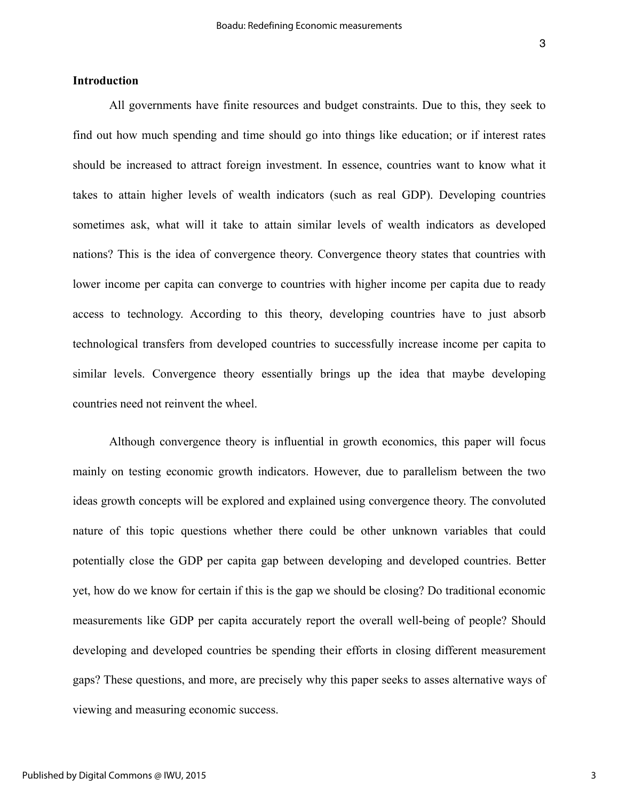#### **Introduction**

All governments have finite resources and budget constraints. Due to this, they seek to find out how much spending and time should go into things like education; or if interest rates should be increased to attract foreign investment. In essence, countries want to know what it takes to attain higher levels of wealth indicators (such as real GDP). Developing countries sometimes ask, what will it take to attain similar levels of wealth indicators as developed nations? This is the idea of convergence theory. Convergence theory states that countries with lower income per capita can converge to countries with higher income per capita due to ready access to technology. According to this theory, developing countries have to just absorb technological transfers from developed countries to successfully increase income per capita to similar levels. Convergence theory essentially brings up the idea that maybe developing countries need not reinvent the wheel.

Although convergence theory is influential in growth economics, this paper will focus mainly on testing economic growth indicators. However, due to parallelism between the two ideas growth concepts will be explored and explained using convergence theory. The convoluted nature of this topic questions whether there could be other unknown variables that could potentially close the GDP per capita gap between developing and developed countries. Better yet, how do we know for certain if this is the gap we should be closing? Do traditional economic measurements like GDP per capita accurately report the overall well-being of people? Should developing and developed countries be spending their efforts in closing different measurement gaps? These questions, and more, are precisely why this paper seeks to asses alternative ways of viewing and measuring economic success.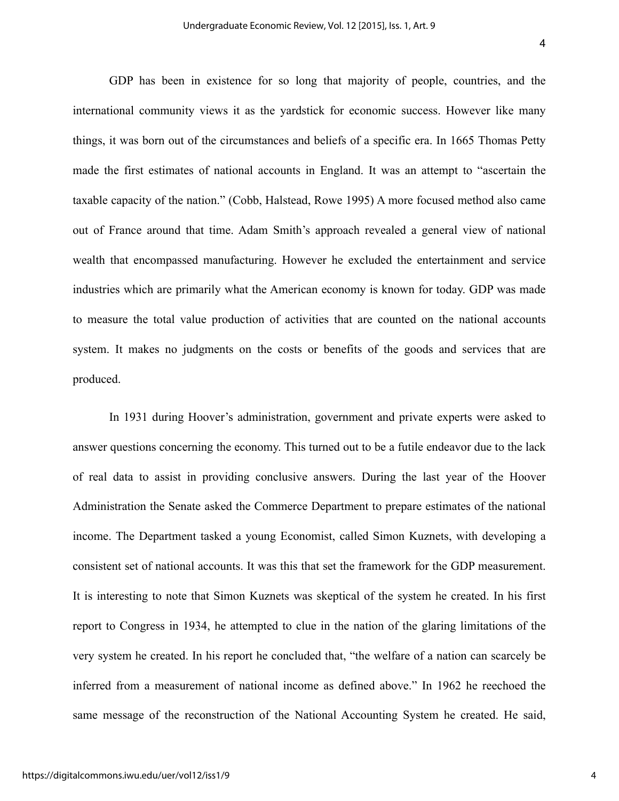GDP has been in existence for so long that majority of people, countries, and the international community views it as the yardstick for economic success. However like many things, it was born out of the circumstances and beliefs of a specific era. In 1665 Thomas Petty made the first estimates of national accounts in England. It was an attempt to "ascertain the taxable capacity of the nation." (Cobb, Halstead, Rowe 1995) A more focused method also came out of France around that time. Adam Smith's approach revealed a general view of national wealth that encompassed manufacturing. However he excluded the entertainment and service industries which are primarily what the American economy is known for today. GDP was made to measure the total value production of activities that are counted on the national accounts system. It makes no judgments on the costs or benefits of the goods and services that are produced.

In 1931 during Hoover's administration, government and private experts were asked to answer questions concerning the economy. This turned out to be a futile endeavor due to the lack of real data to assist in providing conclusive answers. During the last year of the Hoover Administration the Senate asked the Commerce Department to prepare estimates of the national income. The Department tasked a young Economist, called Simon Kuznets, with developing a consistent set of national accounts. It was this that set the framework for the GDP measurement. It is interesting to note that Simon Kuznets was skeptical of the system he created. In his first report to Congress in 1934, he attempted to clue in the nation of the glaring limitations of the very system he created. In his report he concluded that, "the welfare of a nation can scarcely be inferred from a measurement of national income as defined above." In 1962 he reechoed the same message of the reconstruction of the National Accounting System he created. He said,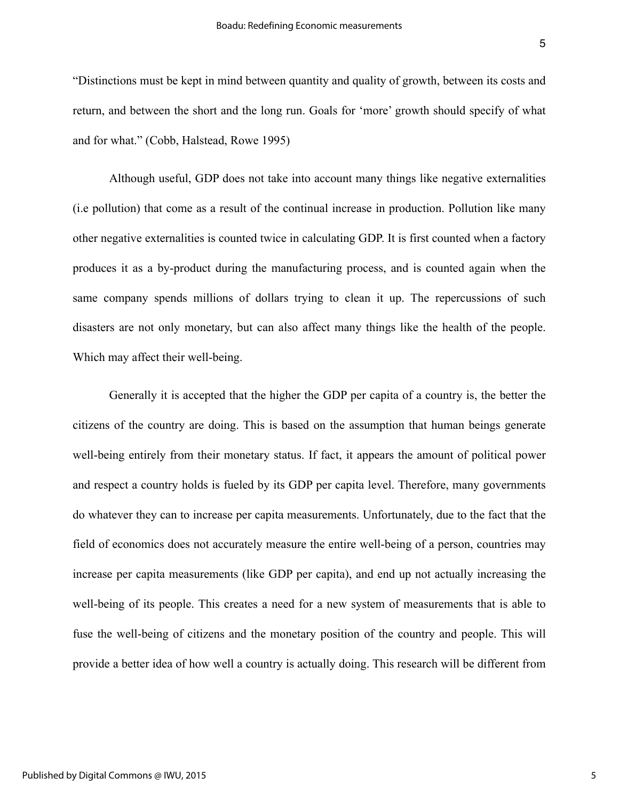"Distinctions must be kept in mind between quantity and quality of growth, between its costs and return, and between the short and the long run. Goals for 'more' growth should specify of what and for what." (Cobb, Halstead, Rowe 1995)

Although useful, GDP does not take into account many things like negative externalities (i.e pollution) that come as a result of the continual increase in production. Pollution like many other negative externalities is counted twice in calculating GDP. It is first counted when a factory produces it as a by-product during the manufacturing process, and is counted again when the same company spends millions of dollars trying to clean it up. The repercussions of such disasters are not only monetary, but can also affect many things like the health of the people. Which may affect their well-being.

Generally it is accepted that the higher the GDP per capita of a country is, the better the citizens of the country are doing. This is based on the assumption that human beings generate well-being entirely from their monetary status. If fact, it appears the amount of political power and respect a country holds is fueled by its GDP per capita level. Therefore, many governments do whatever they can to increase per capita measurements. Unfortunately, due to the fact that the field of economics does not accurately measure the entire well-being of a person, countries may increase per capita measurements (like GDP per capita), and end up not actually increasing the well-being of its people. This creates a need for a new system of measurements that is able to fuse the well-being of citizens and the monetary position of the country and people. This will provide a better idea of how well a country is actually doing. This research will be different from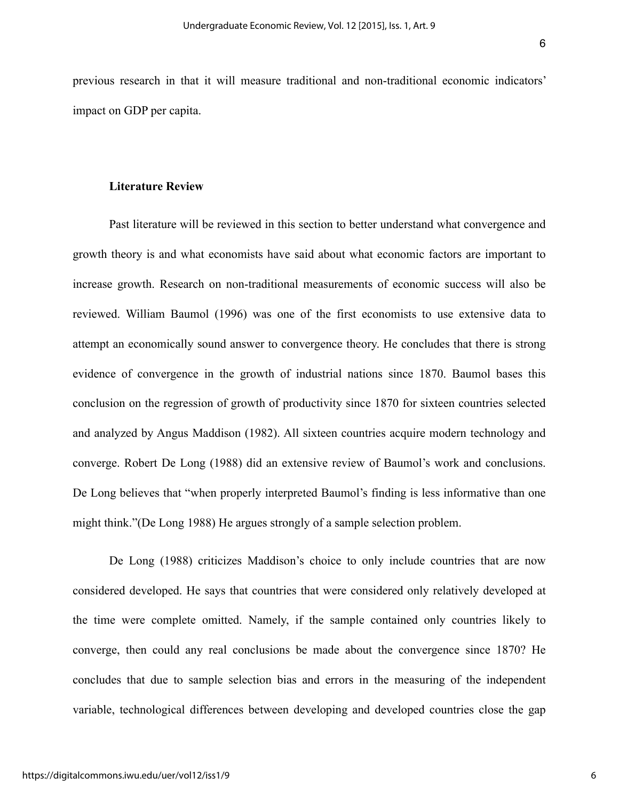previous research in that it will measure traditional and non-traditional economic indicators' impact on GDP per capita.

#### **Literature Review**

Past literature will be reviewed in this section to better understand what convergence and growth theory is and what economists have said about what economic factors are important to increase growth. Research on non-traditional measurements of economic success will also be reviewed. William Baumol (1996) was one of the first economists to use extensive data to attempt an economically sound answer to convergence theory. He concludes that there is strong evidence of convergence in the growth of industrial nations since 1870. Baumol bases this conclusion on the regression of growth of productivity since 1870 for sixteen countries selected and analyzed by Angus Maddison (1982). All sixteen countries acquire modern technology and converge. Robert De Long (1988) did an extensive review of Baumol's work and conclusions. De Long believes that "when properly interpreted Baumol's finding is less informative than one might think."(De Long 1988) He argues strongly of a sample selection problem.

De Long (1988) criticizes Maddison's choice to only include countries that are now considered developed. He says that countries that were considered only relatively developed at the time were complete omitted. Namely, if the sample contained only countries likely to converge, then could any real conclusions be made about the convergence since 1870? He concludes that due to sample selection bias and errors in the measuring of the independent variable, technological differences between developing and developed countries close the gap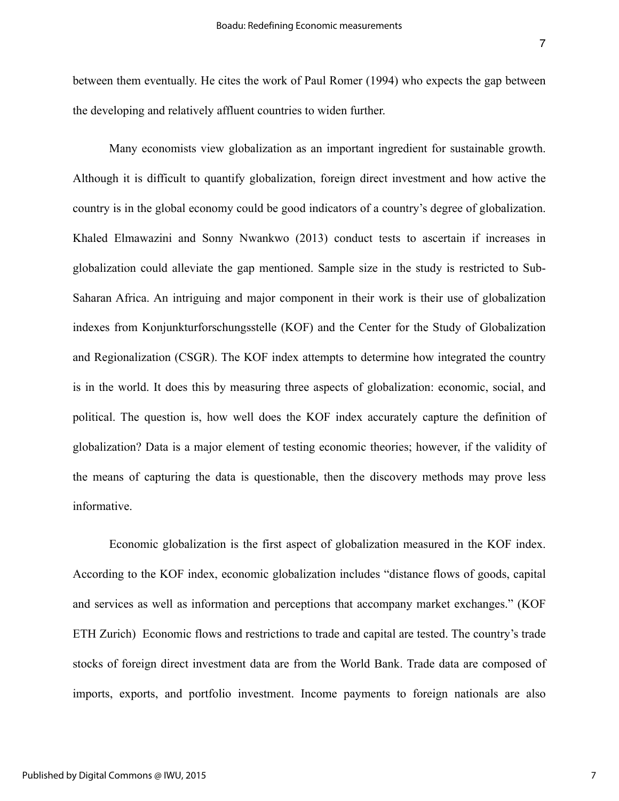between them eventually. He cites the work of Paul Romer (1994) who expects the gap between the developing and relatively affluent countries to widen further.

Many economists view globalization as an important ingredient for sustainable growth. Although it is difficult to quantify globalization, foreign direct investment and how active the country is in the global economy could be good indicators of a country's degree of globalization. Khaled Elmawazini and Sonny Nwankwo (2013) conduct tests to ascertain if increases in globalization could alleviate the gap mentioned. Sample size in the study is restricted to Sub-Saharan Africa. An intriguing and major component in their work is their use of globalization indexes from Konjunkturforschungsstelle (KOF) and the Center for the Study of Globalization and Regionalization (CSGR). The KOF index attempts to determine how integrated the country is in the world. It does this by measuring three aspects of globalization: economic, social, and political. The question is, how well does the KOF index accurately capture the definition of globalization? Data is a major element of testing economic theories; however, if the validity of the means of capturing the data is questionable, then the discovery methods may prove less informative.

Economic globalization is the first aspect of globalization measured in the KOF index. According to the KOF index, economic globalization includes "distance flows of goods, capital and services as well as information and perceptions that accompany market exchanges." (KOF ETH Zurich) Economic flows and restrictions to trade and capital are tested. The country's trade stocks of foreign direct investment data are from the World Bank. Trade data are composed of imports, exports, and portfolio investment. Income payments to foreign nationals are also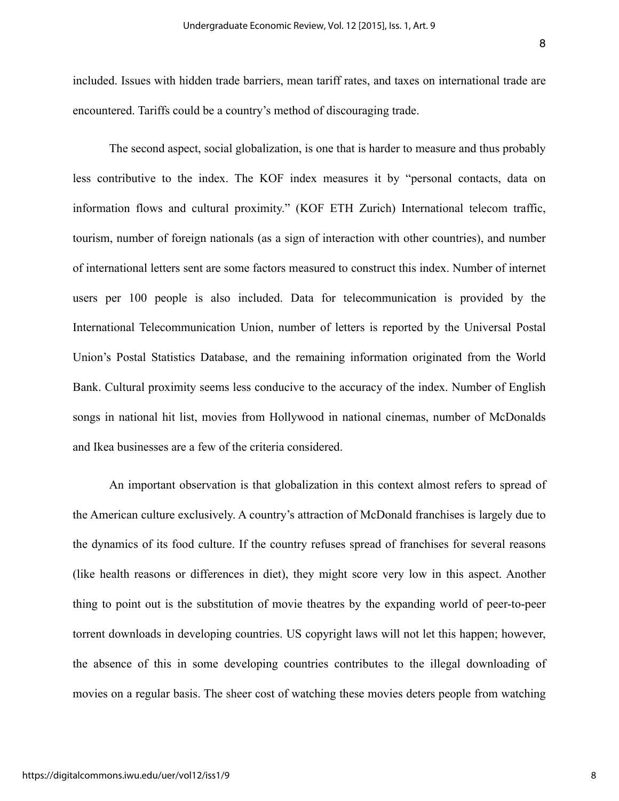The second aspect, social globalization, is one that is harder to measure and thus probably less contributive to the index. The KOF index measures it by "personal contacts, data on information flows and cultural proximity." (KOF ETH Zurich) International telecom traffic, tourism, number of foreign nationals (as a sign of interaction with other countries), and number of international letters sent are some factors measured to construct this index. Number of internet users per 100 people is also included. Data for telecommunication is provided by the International Telecommunication Union, number of letters is reported by the Universal Postal Union's Postal Statistics Database, and the remaining information originated from the World Bank. Cultural proximity seems less conducive to the accuracy of the index. Number of English songs in national hit list, movies from Hollywood in national cinemas, number of McDonalds and Ikea businesses are a few of the criteria considered.

An important observation is that globalization in this context almost refers to spread of the American culture exclusively. A country's attraction of McDonald franchises is largely due to the dynamics of its food culture. If the country refuses spread of franchises for several reasons (like health reasons or differences in diet), they might score very low in this aspect. Another thing to point out is the substitution of movie theatres by the expanding world of peer-to-peer torrent downloads in developing countries. US copyright laws will not let this happen; however, the absence of this in some developing countries contributes to the illegal downloading of movies on a regular basis. The sheer cost of watching these movies deters people from watching

8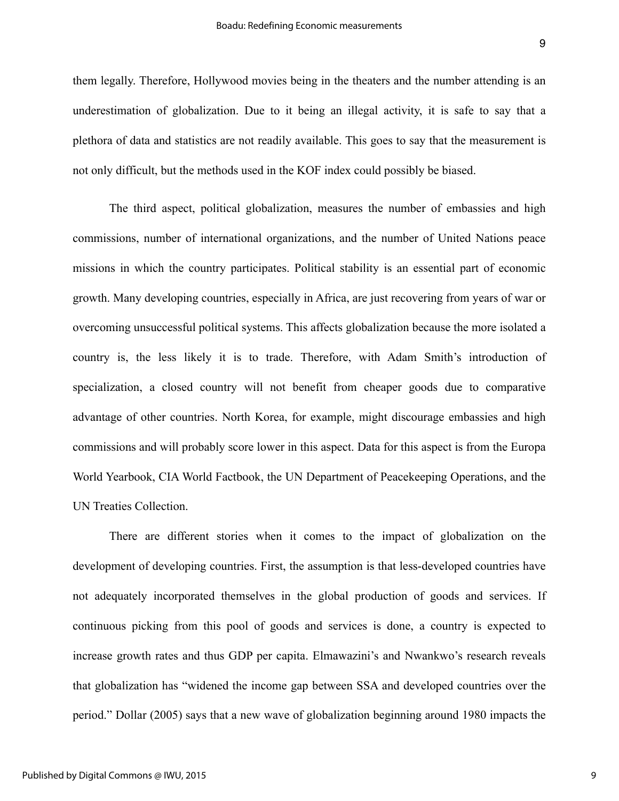them legally. Therefore, Hollywood movies being in the theaters and the number attending is an underestimation of globalization. Due to it being an illegal activity, it is safe to say that a plethora of data and statistics are not readily available. This goes to say that the measurement is not only difficult, but the methods used in the KOF index could possibly be biased.

The third aspect, political globalization, measures the number of embassies and high commissions, number of international organizations, and the number of United Nations peace missions in which the country participates. Political stability is an essential part of economic growth. Many developing countries, especially in Africa, are just recovering from years of war or overcoming unsuccessful political systems. This affects globalization because the more isolated a country is, the less likely it is to trade. Therefore, with Adam Smith's introduction of specialization, a closed country will not benefit from cheaper goods due to comparative advantage of other countries. North Korea, for example, might discourage embassies and high commissions and will probably score lower in this aspect. Data for this aspect is from the Europa World Yearbook, CIA World Factbook, the UN Department of Peacekeeping Operations, and the UN Treaties Collection.

 There are different stories when it comes to the impact of globalization on the development of developing countries. First, the assumption is that less-developed countries have not adequately incorporated themselves in the global production of goods and services. If continuous picking from this pool of goods and services is done, a country is expected to increase growth rates and thus GDP per capita. Elmawazini's and Nwankwo's research reveals that globalization has "widened the income gap between SSA and developed countries over the period." Dollar (2005) says that a new wave of globalization beginning around 1980 impacts the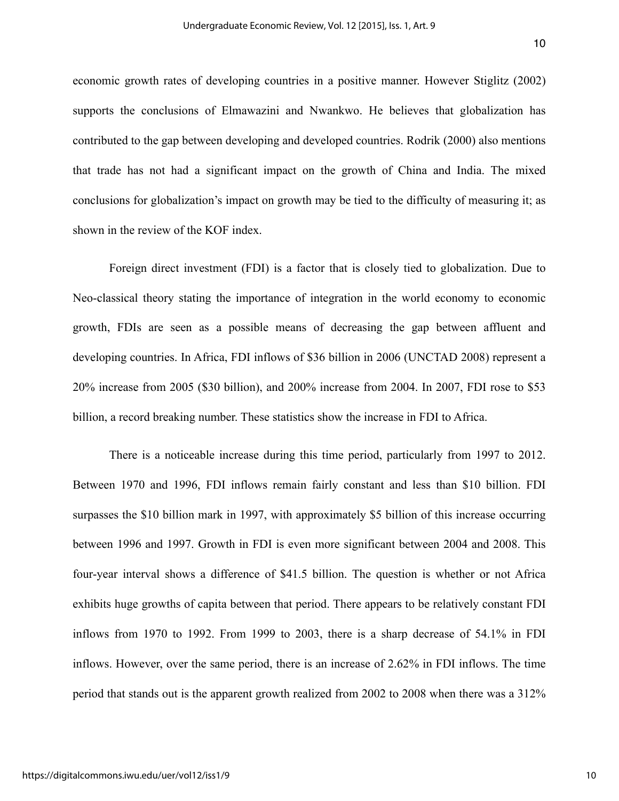economic growth rates of developing countries in a positive manner. However Stiglitz (2002) supports the conclusions of Elmawazini and Nwankwo. He believes that globalization has contributed to the gap between developing and developed countries. Rodrik (2000) also mentions that trade has not had a significant impact on the growth of China and India. The mixed conclusions for globalization's impact on growth may be tied to the difficulty of measuring it; as shown in the review of the KOF index.

Foreign direct investment (FDI) is a factor that is closely tied to globalization. Due to Neo-classical theory stating the importance of integration in the world economy to economic growth, FDIs are seen as a possible means of decreasing the gap between affluent and developing countries. In Africa, FDI inflows of \$36 billion in 2006 (UNCTAD 2008) represent a 20% increase from 2005 (\$30 billion), and 200% increase from 2004. In 2007, FDI rose to \$53 billion, a record breaking number. These statistics show the increase in FDI to Africa.

There is a noticeable increase during this time period, particularly from 1997 to 2012. Between 1970 and 1996, FDI inflows remain fairly constant and less than \$10 billion. FDI surpasses the \$10 billion mark in 1997, with approximately \$5 billion of this increase occurring between 1996 and 1997. Growth in FDI is even more significant between 2004 and 2008. This four-year interval shows a difference of \$41.5 billion. The question is whether or not Africa exhibits huge growths of capita between that period. There appears to be relatively constant FDI inflows from 1970 to 1992. From 1999 to 2003, there is a sharp decrease of 54.1% in FDI inflows. However, over the same period, there is an increase of 2.62% in FDI inflows. The time period that stands out is the apparent growth realized from 2002 to 2008 when there was a 312%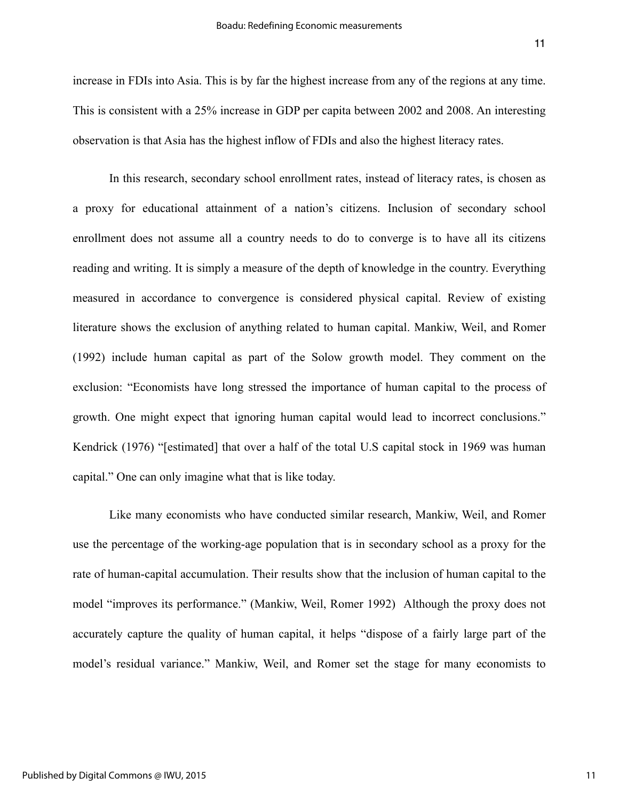increase in FDIs into Asia. This is by far the highest increase from any of the regions at any time. This is consistent with a 25% increase in GDP per capita between 2002 and 2008. An interesting observation is that Asia has the highest inflow of FDIs and also the highest literacy rates.

In this research, secondary school enrollment rates, instead of literacy rates, is chosen as a proxy for educational attainment of a nation's citizens. Inclusion of secondary school enrollment does not assume all a country needs to do to converge is to have all its citizens reading and writing. It is simply a measure of the depth of knowledge in the country. Everything measured in accordance to convergence is considered physical capital. Review of existing literature shows the exclusion of anything related to human capital. Mankiw, Weil, and Romer (1992) include human capital as part of the Solow growth model. They comment on the exclusion: "Economists have long stressed the importance of human capital to the process of growth. One might expect that ignoring human capital would lead to incorrect conclusions." Kendrick (1976) "[estimated] that over a half of the total U.S capital stock in 1969 was human capital." One can only imagine what that is like today.

Like many economists who have conducted similar research, Mankiw, Weil, and Romer use the percentage of the working-age population that is in secondary school as a proxy for the rate of human-capital accumulation. Their results show that the inclusion of human capital to the model "improves its performance." (Mankiw, Weil, Romer 1992) Although the proxy does not accurately capture the quality of human capital, it helps "dispose of a fairly large part of the model's residual variance." Mankiw, Weil, and Romer set the stage for many economists to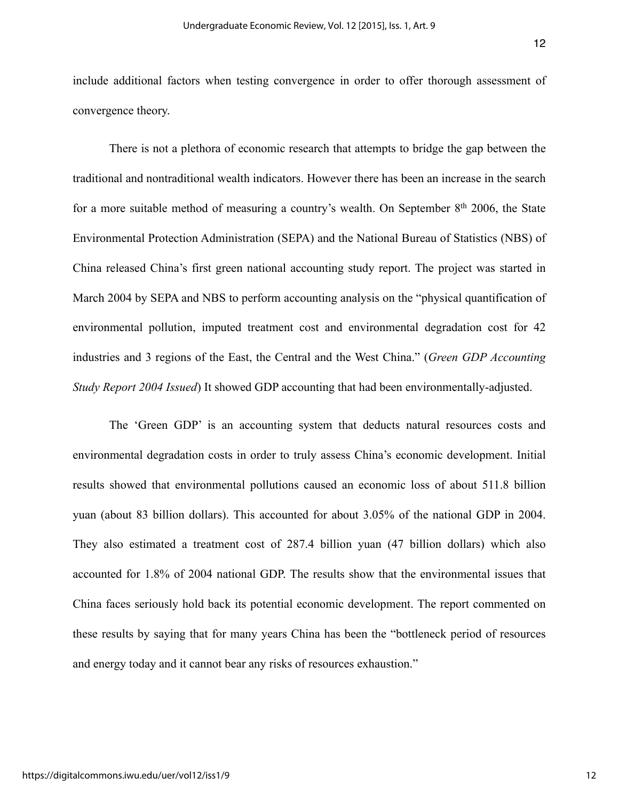include additional factors when testing convergence in order to offer thorough assessment of convergence theory.

There is not a plethora of economic research that attempts to bridge the gap between the traditional and nontraditional wealth indicators. However there has been an increase in the search for a more suitable method of measuring a country's wealth. On September  $8<sup>th</sup>$  2006, the State Environmental Protection Administration (SEPA) and the National Bureau of Statistics (NBS) of China released China's first green national accounting study report. The project was started in March 2004 by SEPA and NBS to perform accounting analysis on the "physical quantification of environmental pollution, imputed treatment cost and environmental degradation cost for 42 industries and 3 regions of the East, the Central and the West China." (*Green GDP Accounting Study Report 2004 Issued*) It showed GDP accounting that had been environmentally-adjusted.

 The 'Green GDP' is an accounting system that deducts natural resources costs and environmental degradation costs in order to truly assess China's economic development. Initial results showed that environmental pollutions caused an economic loss of about 511.8 billion yuan (about 83 billion dollars). This accounted for about 3.05% of the national GDP in 2004. They also estimated a treatment cost of 287.4 billion yuan (47 billion dollars) which also accounted for 1.8% of 2004 national GDP. The results show that the environmental issues that China faces seriously hold back its potential economic development. The report commented on these results by saying that for many years China has been the "bottleneck period of resources and energy today and it cannot bear any risks of resources exhaustion."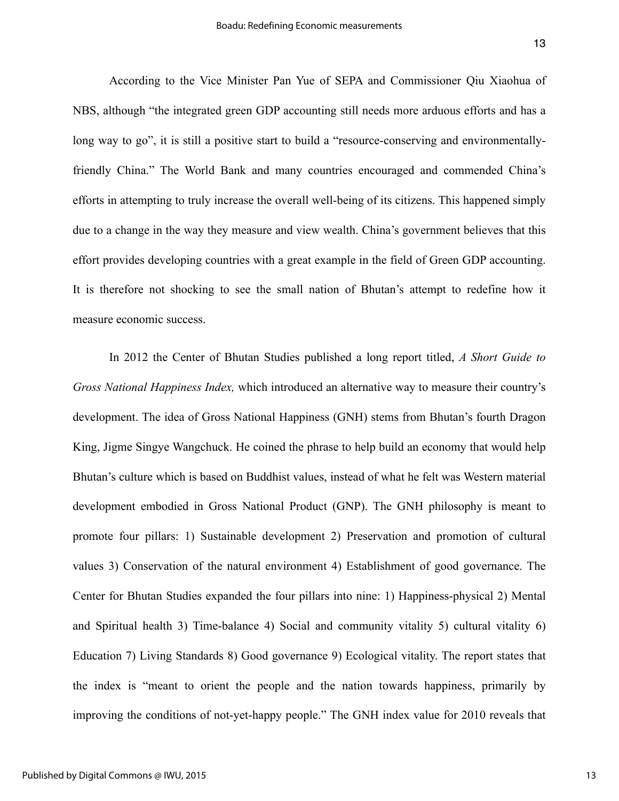According to the Vice Minister Pan Yue of SEPA and Commissioner Qiu Xiaohua of NBS, although "the integrated green GDP accounting still needs more arduous efforts and has a long way to go", it is still a positive start to build a "resource-conserving and environmentallyfriendly China." The World Bank and many countries encouraged and commended China's efforts in attempting to truly increase the overall well-being of its citizens. This happened simply due to a change in the way they measure and view wealth. China's government believes that this effort provides developing countries with a great example in the field of Green GDP accounting. It is therefore not shocking to see the small nation of Bhutan's attempt to redefine how it measure economic success.

 In 2012 the Center of Bhutan Studies published a long report titled, *A Short Guide to Gross National Happiness Index,* which introduced an alternative way to measure their country's development. The idea of Gross National Happiness (GNH) stems from Bhutan's fourth Dragon King, Jigme Singye Wangchuck. He coined the phrase to help build an economy that would help Bhutan's culture which is based on Buddhist values, instead of what he felt was Western material development embodied in Gross National Product (GNP). The GNH philosophy is meant to promote four pillars: 1) Sustainable development 2) Preservation and promotion of cultural values 3) Conservation of the natural environment 4) Establishment of good governance. The Center for Bhutan Studies expanded the four pillars into nine: 1) Happiness-physical 2) Mental and Spiritual health 3) Time-balance 4) Social and community vitality 5) cultural vitality 6) Education 7) Living Standards 8) Good governance 9) Ecological vitality. The report states that the index is "meant to orient the people and the nation towards happiness, primarily by improving the conditions of not-yet-happy people." The GNH index value for 2010 reveals that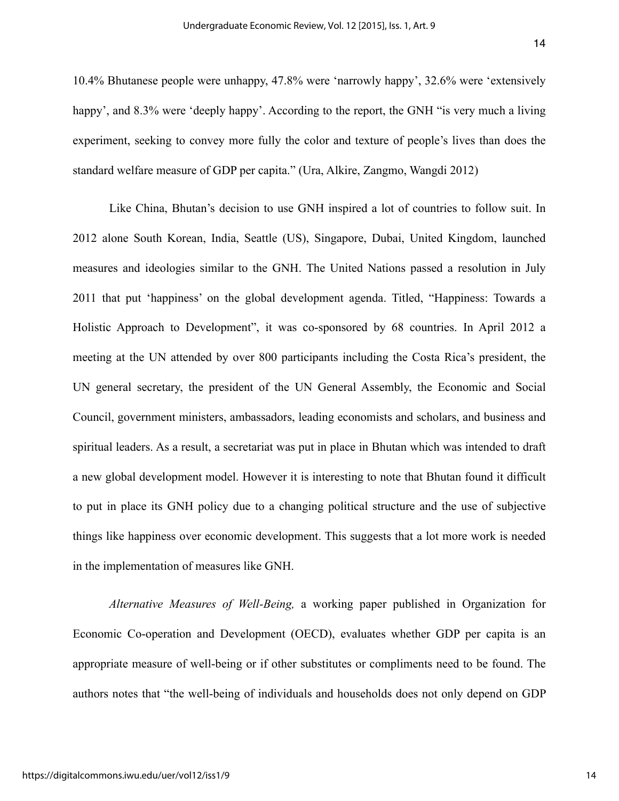10.4% Bhutanese people were unhappy, 47.8% were 'narrowly happy', 32.6% were 'extensively happy', and 8.3% were 'deeply happy'. According to the report, the GNH "is very much a living experiment, seeking to convey more fully the color and texture of people's lives than does the standard welfare measure of GDP per capita." (Ura, Alkire, Zangmo, Wangdi 2012)

 Like China, Bhutan's decision to use GNH inspired a lot of countries to follow suit. In 2012 alone South Korean, India, Seattle (US), Singapore, Dubai, United Kingdom, launched measures and ideologies similar to the GNH. The United Nations passed a resolution in July 2011 that put 'happiness' on the global development agenda. Titled, "Happiness: Towards a Holistic Approach to Development", it was co-sponsored by 68 countries. In April 2012 a meeting at the UN attended by over 800 participants including the Costa Rica's president, the UN general secretary, the president of the UN General Assembly, the Economic and Social Council, government ministers, ambassadors, leading economists and scholars, and business and spiritual leaders. As a result, a secretariat was put in place in Bhutan which was intended to draft a new global development model. However it is interesting to note that Bhutan found it difficult to put in place its GNH policy due to a changing political structure and the use of subjective things like happiness over economic development. This suggests that a lot more work is needed in the implementation of measures like GNH.

*Alternative Measures of Well-Being,* a working paper published in Organization for Economic Co-operation and Development (OECD), evaluates whether GDP per capita is an appropriate measure of well-being or if other substitutes or compliments need to be found. The authors notes that "the well-being of individuals and households does not only depend on GDP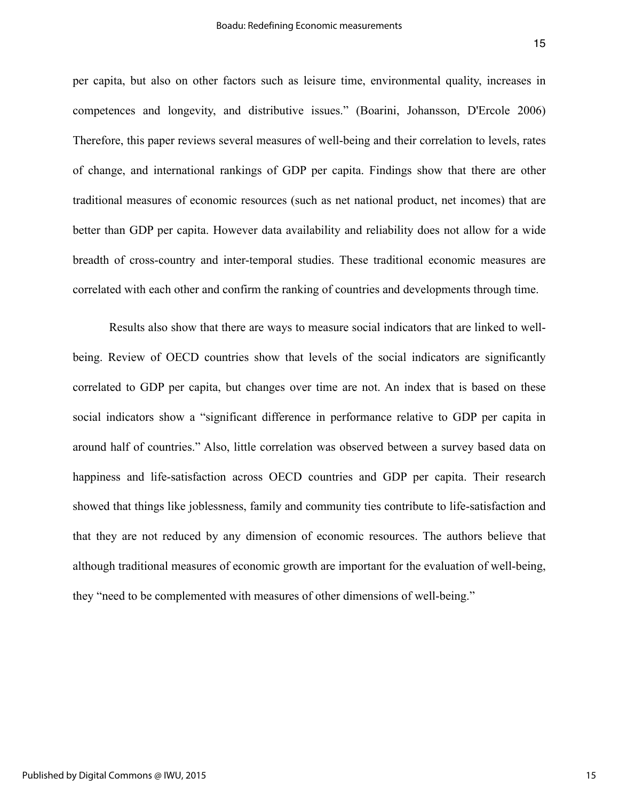per capita, but also on other factors such as leisure time, environmental quality, increases in competences and longevity, and distributive issues." (Boarini, Johansson, D'Ercole 2006) Therefore, this paper reviews several measures of well-being and their correlation to levels, rates of change, and international rankings of GDP per capita. Findings show that there are other traditional measures of economic resources (such as net national product, net incomes) that are better than GDP per capita. However data availability and reliability does not allow for a wide breadth of cross-country and inter-temporal studies. These traditional economic measures are correlated with each other and confirm the ranking of countries and developments through time.

 Results also show that there are ways to measure social indicators that are linked to wellbeing. Review of OECD countries show that levels of the social indicators are significantly correlated to GDP per capita, but changes over time are not. An index that is based on these social indicators show a "significant difference in performance relative to GDP per capita in around half of countries." Also, little correlation was observed between a survey based data on happiness and life-satisfaction across OECD countries and GDP per capita. Their research showed that things like joblessness, family and community ties contribute to life-satisfaction and that they are not reduced by any dimension of economic resources. The authors believe that although traditional measures of economic growth are important for the evaluation of well-being, they "need to be complemented with measures of other dimensions of well-being."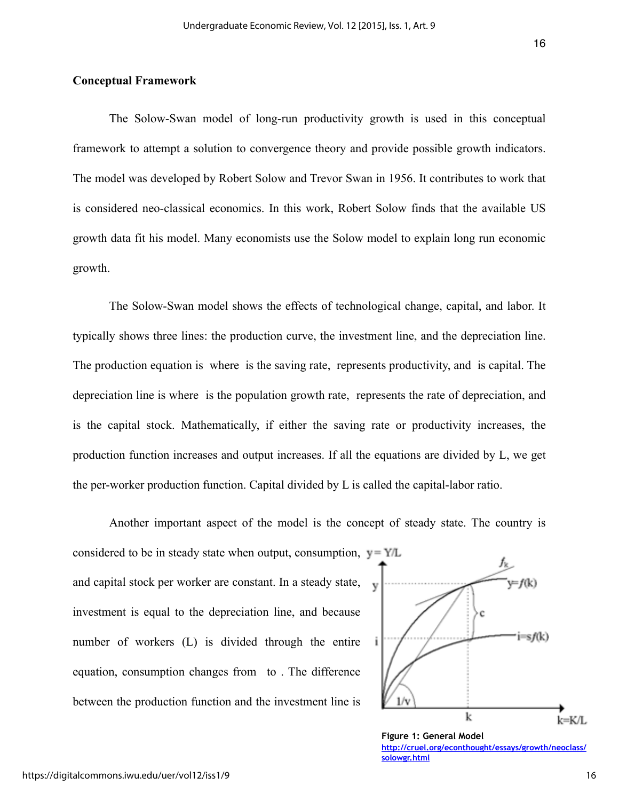#### **Conceptual Framework**

The Solow-Swan model of long-run productivity growth is used in this conceptual framework to attempt a solution to convergence theory and provide possible growth indicators. The model was developed by Robert Solow and Trevor Swan in 1956. It contributes to work that is considered neo-classical economics. In this work, Robert Solow finds that the available US growth data fit his model. Many economists use the Solow model to explain long run economic growth.

The Solow-Swan model shows the effects of technological change, capital, and labor. It typically shows three lines: the production curve, the investment line, and the depreciation line. The production equation is where is the saving rate, represents productivity, and is capital. The depreciation line is where is the population growth rate, represents the rate of depreciation, and is the capital stock. Mathematically, if either the saving rate or productivity increases, the production function increases and output increases. If all the equations are divided by L, we get the per-worker production function. Capital divided by L is called the capital-labor ratio.

Another important aspect of the model is the concept of steady state. The country is

considered to be in steady state when output, consumption,  $y = Y/L$ and capital stock per worker are constant. In a steady state, investment is equal to the depreciation line, and because number of workers (L) is divided through the entire equation, consumption changes from to . The difference between the production function and the investment line is



**Figure 1: General Model [http://cruel.org/econthought/essays/growth/neoclass/](http://cruel.org/econthought/essays/growth/neoclass/solowgr.html) solowgr.html**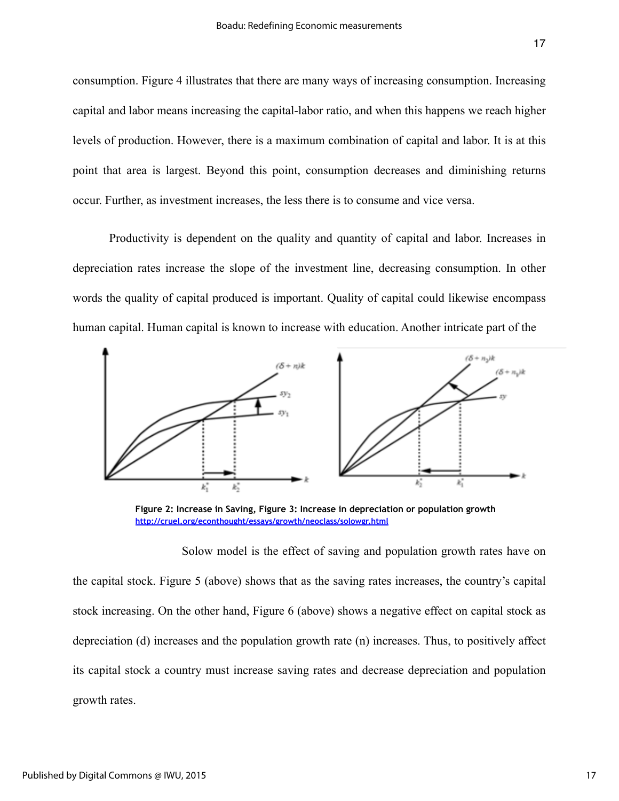consumption. Figure 4 illustrates that there are many ways of increasing consumption. Increasing capital and labor means increasing the capital-labor ratio, and when this happens we reach higher levels of production. However, there is a maximum combination of capital and labor. It is at this point that area is largest. Beyond this point, consumption decreases and diminishing returns occur. Further, as investment increases, the less there is to consume and vice versa.

Productivity is dependent on the quality and quantity of capital and labor. Increases in depreciation rates increase the slope of the investment line, decreasing consumption. In other words the quality of capital produced is important. Quality of capital could likewise encompass human capital. Human capital is known to increase with education. Another intricate part of the



**Figure 2: Increase in Saving, Figure 3: Increase in depreciation or population growth <http://cruel.org/econthought/essays/growth/neoclass/solowgr.html>**

 Solow model is the effect of saving and population growth rates have on the capital stock. Figure 5 (above) shows that as the saving rates increases, the country's capital stock increasing. On the other hand, Figure 6 (above) shows a negative effect on capital stock as depreciation (d) increases and the population growth rate (n) increases. Thus, to positively affect its capital stock a country must increase saving rates and decrease depreciation and population growth rates.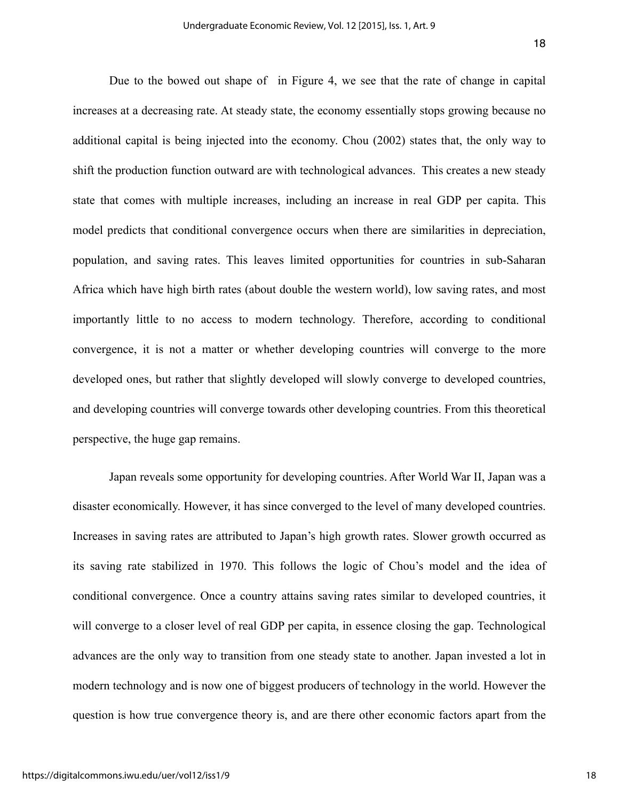Due to the bowed out shape of in Figure 4, we see that the rate of change in capital increases at a decreasing rate. At steady state, the economy essentially stops growing because no additional capital is being injected into the economy. Chou (2002) states that, the only way to shift the production function outward are with technological advances. This creates a new steady state that comes with multiple increases, including an increase in real GDP per capita. This model predicts that conditional convergence occurs when there are similarities in depreciation, population, and saving rates. This leaves limited opportunities for countries in sub-Saharan Africa which have high birth rates (about double the western world), low saving rates, and most importantly little to no access to modern technology. Therefore, according to conditional convergence, it is not a matter or whether developing countries will converge to the more developed ones, but rather that slightly developed will slowly converge to developed countries, and developing countries will converge towards other developing countries. From this theoretical perspective, the huge gap remains.

Japan reveals some opportunity for developing countries. After World War II, Japan was a disaster economically. However, it has since converged to the level of many developed countries. Increases in saving rates are attributed to Japan's high growth rates. Slower growth occurred as its saving rate stabilized in 1970. This follows the logic of Chou's model and the idea of conditional convergence. Once a country attains saving rates similar to developed countries, it will converge to a closer level of real GDP per capita, in essence closing the gap. Technological advances are the only way to transition from one steady state to another. Japan invested a lot in modern technology and is now one of biggest producers of technology in the world. However the question is how true convergence theory is, and are there other economic factors apart from the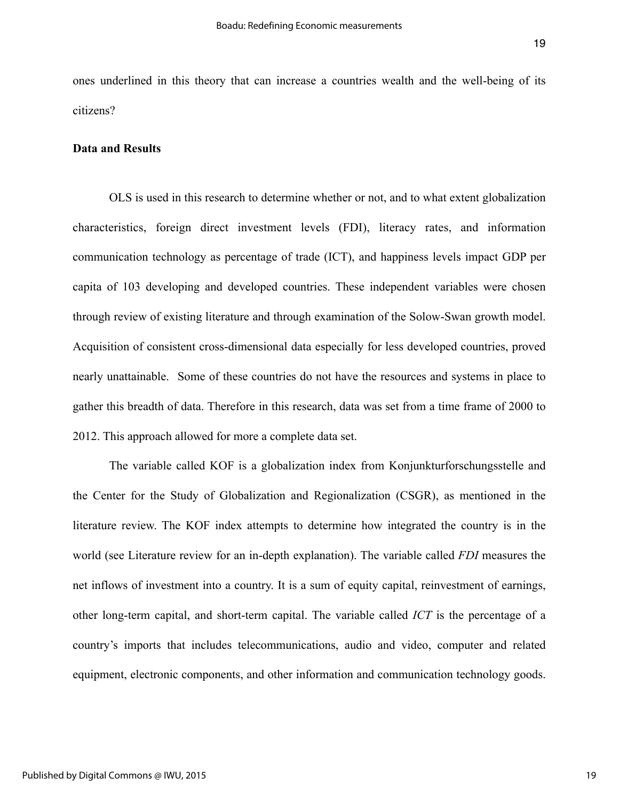ones underlined in this theory that can increase a countries wealth and the well-being of its citizens?

#### **Data and Results**

 OLS is used in this research to determine whether or not, and to what extent globalization characteristics, foreign direct investment levels (FDI), literacy rates, and information communication technology as percentage of trade (ICT), and happiness levels impact GDP per capita of 103 developing and developed countries. These independent variables were chosen through review of existing literature and through examination of the Solow-Swan growth model. Acquisition of consistent cross-dimensional data especially for less developed countries, proved nearly unattainable. Some of these countries do not have the resources and systems in place to gather this breadth of data. Therefore in this research, data was set from a time frame of 2000 to 2012. This approach allowed for more a complete data set.

 The variable called KOF is a globalization index from Konjunkturforschungsstelle and the Center for the Study of Globalization and Regionalization (CSGR), as mentioned in the literature review. The KOF index attempts to determine how integrated the country is in the world (see Literature review for an in-depth explanation). The variable called *FDI* measures the net inflows of investment into a country. It is a sum of equity capital, reinvestment of earnings, other long-term capital, and short-term capital. The variable called *ICT* is the percentage of a country's imports that includes telecommunications, audio and video, computer and related equipment, electronic components, and other information and communication technology goods.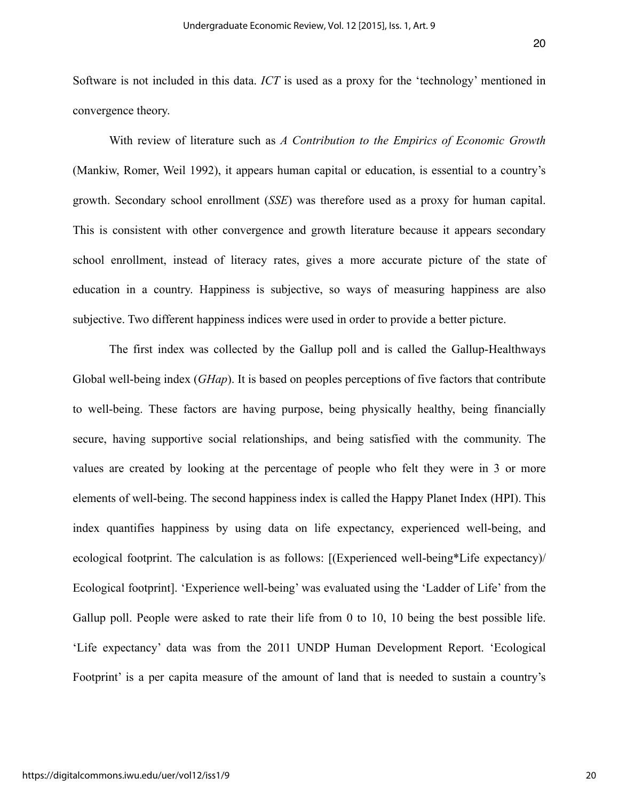Software is not included in this data. *ICT* is used as a proxy for the 'technology' mentioned in convergence theory.

 With review of literature such as *A Contribution to the Empirics of Economic Growth* (Mankiw, Romer, Weil 1992), it appears human capital or education, is essential to a country's growth. Secondary school enrollment (*SSE*) was therefore used as a proxy for human capital. This is consistent with other convergence and growth literature because it appears secondary school enrollment, instead of literacy rates, gives a more accurate picture of the state of education in a country. Happiness is subjective, so ways of measuring happiness are also subjective. Two different happiness indices were used in order to provide a better picture.

 The first index was collected by the Gallup poll and is called the Gallup-Healthways Global well-being index (*GHap*). It is based on peoples perceptions of five factors that contribute to well-being. These factors are having purpose, being physically healthy, being financially secure, having supportive social relationships, and being satisfied with the community. The values are created by looking at the percentage of people who felt they were in 3 or more elements of well-being. The second happiness index is called the Happy Planet Index (HPI). This index quantifies happiness by using data on life expectancy, experienced well-being, and ecological footprint. The calculation is as follows: [(Experienced well-being\*Life expectancy)/ Ecological footprint]. 'Experience well-being' was evaluated using the 'Ladder of Life' from the Gallup poll. People were asked to rate their life from 0 to 10, 10 being the best possible life. 'Life expectancy' data was from the 2011 UNDP Human Development Report. 'Ecological Footprint' is a per capita measure of the amount of land that is needed to sustain a country's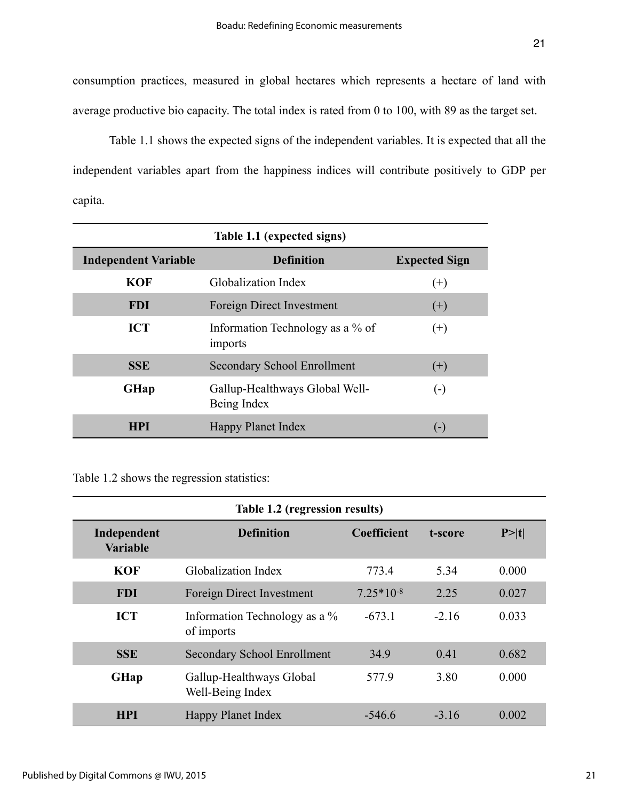consumption practices, measured in global hectares which represents a hectare of land with average productive bio capacity. The total index is rated from 0 to 100, with 89 as the target set.

 Table 1.1 shows the expected signs of the independent variables. It is expected that all the independent variables apart from the happiness indices will contribute positively to GDP per capita.

| Table 1.1 (expected signs)  |                                               |                      |  |  |  |  |
|-----------------------------|-----------------------------------------------|----------------------|--|--|--|--|
| <b>Independent Variable</b> | <b>Definition</b>                             | <b>Expected Sign</b> |  |  |  |  |
| <b>KOF</b>                  | Globalization Index                           | $^{(+)}$             |  |  |  |  |
| <b>FDI</b>                  | Foreign Direct Investment                     | $(+)$                |  |  |  |  |
| <b>ICT</b>                  | Information Technology as a % of<br>imports   | $^{(+)}$             |  |  |  |  |
| <b>SSE</b>                  | <b>Secondary School Enrollment</b>            | $^{(+)}$             |  |  |  |  |
| <b>GHap</b>                 | Gallup-Healthways Global Well-<br>Being Index | $(\textnormal{-})$   |  |  |  |  |
| <b>HPI</b>                  | <b>Happy Planet Index</b>                     | $(-)$                |  |  |  |  |

Table 1.2 shows the regression statistics:

| Table 1.2 (regression results) |                                              |             |         |        |  |  |
|--------------------------------|----------------------------------------------|-------------|---------|--------|--|--|
| Independent<br><b>Variable</b> | <b>Definition</b>                            | Coefficient | t-score | P >  t |  |  |
| <b>KOF</b>                     | Globalization Index                          | 773.4       | 5.34    | 0.000  |  |  |
| <b>FDI</b>                     | Foreign Direct Investment                    | $7.25*10-8$ | 2.25    | 0.027  |  |  |
| <b>ICT</b>                     | Information Technology as a %<br>of imports  | $-673.1$    | $-2.16$ | 0.033  |  |  |
| <b>SSE</b>                     | <b>Secondary School Enrollment</b>           | 34.9        | 0.41    | 0.682  |  |  |
| <b>GHap</b>                    | Gallup-Healthways Global<br>Well-Being Index | 577.9       | 3.80    | 0.000  |  |  |
| <b>HPI</b>                     | <b>Happy Planet Index</b>                    | $-546.6$    | $-316$  | 0.002  |  |  |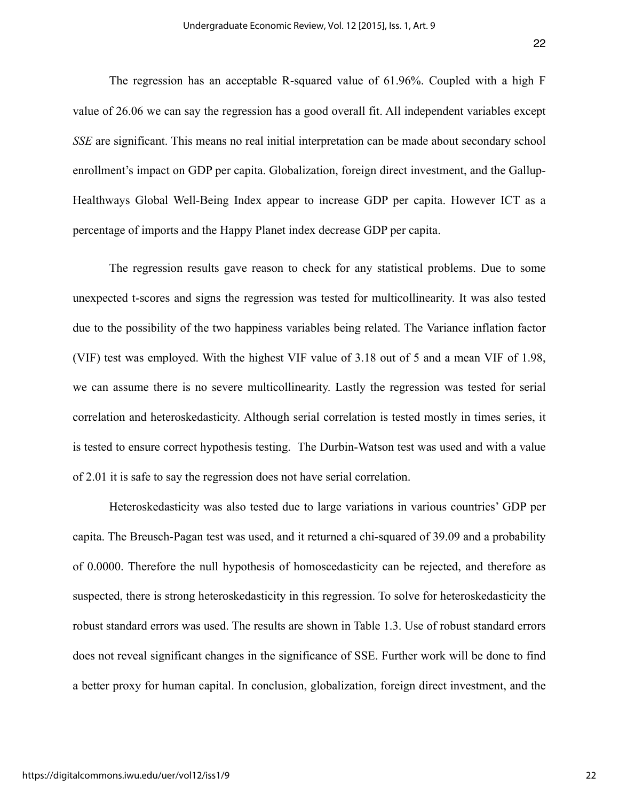The regression has an acceptable R-squared value of 61.96%. Coupled with a high F value of 26.06 we can say the regression has a good overall fit. All independent variables except *SSE* are significant. This means no real initial interpretation can be made about secondary school enrollment's impact on GDP per capita. Globalization, foreign direct investment, and the Gallup-Healthways Global Well-Being Index appear to increase GDP per capita. However ICT as a percentage of imports and the Happy Planet index decrease GDP per capita.

 The regression results gave reason to check for any statistical problems. Due to some unexpected t-scores and signs the regression was tested for multicollinearity. It was also tested due to the possibility of the two happiness variables being related. The Variance inflation factor (VIF) test was employed. With the highest VIF value of 3.18 out of 5 and a mean VIF of 1.98, we can assume there is no severe multicollinearity. Lastly the regression was tested for serial correlation and heteroskedasticity. Although serial correlation is tested mostly in times series, it is tested to ensure correct hypothesis testing. The Durbin-Watson test was used and with a value of 2.01 it is safe to say the regression does not have serial correlation.

 Heteroskedasticity was also tested due to large variations in various countries' GDP per capita. The Breusch-Pagan test was used, and it returned a chi-squared of 39.09 and a probability of 0.0000. Therefore the null hypothesis of homoscedasticity can be rejected, and therefore as suspected, there is strong heteroskedasticity in this regression. To solve for heteroskedasticity the robust standard errors was used. The results are shown in Table 1.3. Use of robust standard errors does not reveal significant changes in the significance of SSE. Further work will be done to find a better proxy for human capital. In conclusion, globalization, foreign direct investment, and the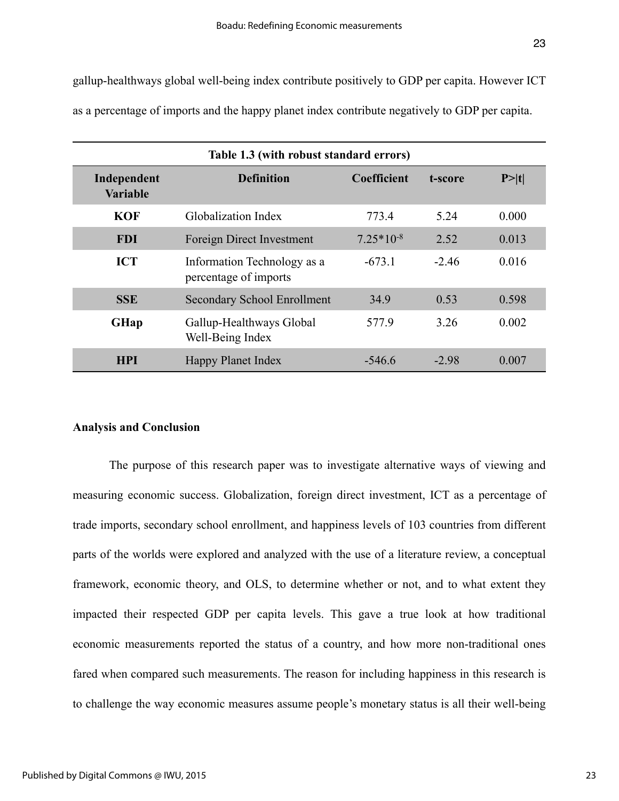gallup-healthways global well-being index contribute positively to GDP per capita. However ICT as a percentage of imports and the happy planet index contribute negatively to GDP per capita.

| Table 1.3 (with robust standard errors) |                                                      |                    |         |        |  |  |
|-----------------------------------------|------------------------------------------------------|--------------------|---------|--------|--|--|
| Independent<br><b>Variable</b>          | <b>Definition</b>                                    | <b>Coefficient</b> | t-score | P >  t |  |  |
| <b>KOF</b>                              | <b>Globalization Index</b>                           | 773.4              | 5.24    | 0.000  |  |  |
| <b>FDI</b>                              | Foreign Direct Investment                            | $7.25*10-8$        | 2.52    | 0.013  |  |  |
| <b>ICT</b>                              | Information Technology as a<br>percentage of imports | $-673.1$           | $-2.46$ | 0.016  |  |  |
| <b>SSE</b>                              | <b>Secondary School Enrollment</b>                   | 34.9               | 0.53    | 0.598  |  |  |
| <b>GHap</b>                             | Gallup-Healthways Global<br>Well-Being Index         | 577.9              | 3.26    | 0.002  |  |  |
| <b>HPI</b>                              | <b>Happy Planet Index</b>                            | $-546.6$           | $-2.98$ | 0.007  |  |  |

#### **Analysis and Conclusion**

The purpose of this research paper was to investigate alternative ways of viewing and measuring economic success. Globalization, foreign direct investment, ICT as a percentage of trade imports, secondary school enrollment, and happiness levels of 103 countries from different parts of the worlds were explored and analyzed with the use of a literature review, a conceptual framework, economic theory, and OLS, to determine whether or not, and to what extent they impacted their respected GDP per capita levels. This gave a true look at how traditional economic measurements reported the status of a country, and how more non-traditional ones fared when compared such measurements. The reason for including happiness in this research is to challenge the way economic measures assume people's monetary status is all their well-being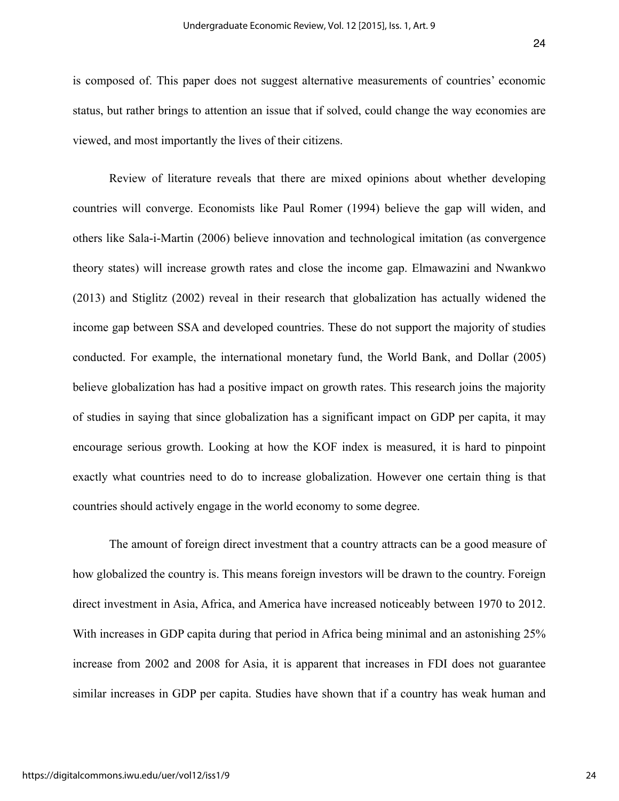is composed of. This paper does not suggest alternative measurements of countries' economic status, but rather brings to attention an issue that if solved, could change the way economies are viewed, and most importantly the lives of their citizens.

Review of literature reveals that there are mixed opinions about whether developing countries will converge. Economists like Paul Romer (1994) believe the gap will widen, and others like Sala-i-Martin (2006) believe innovation and technological imitation (as convergence theory states) will increase growth rates and close the income gap. Elmawazini and Nwankwo (2013) and Stiglitz (2002) reveal in their research that globalization has actually widened the income gap between SSA and developed countries. These do not support the majority of studies conducted. For example, the international monetary fund, the World Bank, and Dollar (2005) believe globalization has had a positive impact on growth rates. This research joins the majority of studies in saying that since globalization has a significant impact on GDP per capita, it may encourage serious growth. Looking at how the KOF index is measured, it is hard to pinpoint exactly what countries need to do to increase globalization. However one certain thing is that countries should actively engage in the world economy to some degree.

The amount of foreign direct investment that a country attracts can be a good measure of how globalized the country is. This means foreign investors will be drawn to the country. Foreign direct investment in Asia, Africa, and America have increased noticeably between 1970 to 2012. With increases in GDP capita during that period in Africa being minimal and an astonishing 25% increase from 2002 and 2008 for Asia, it is apparent that increases in FDI does not guarantee similar increases in GDP per capita. Studies have shown that if a country has weak human and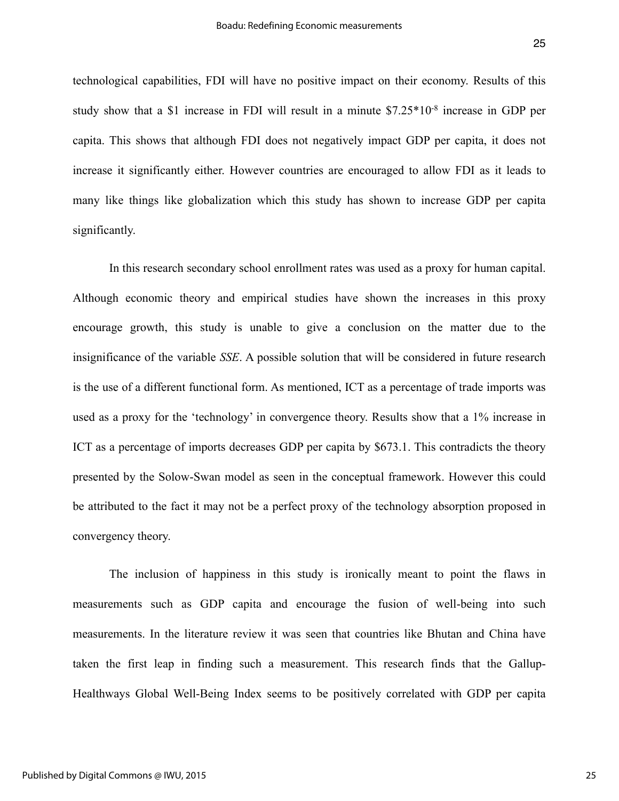technological capabilities, FDI will have no positive impact on their economy. Results of this study show that a \$1 increase in FDI will result in a minute \$7.25\*10-8 increase in GDP per capita. This shows that although FDI does not negatively impact GDP per capita, it does not increase it significantly either. However countries are encouraged to allow FDI as it leads to many like things like globalization which this study has shown to increase GDP per capita significantly.

In this research secondary school enrollment rates was used as a proxy for human capital. Although economic theory and empirical studies have shown the increases in this proxy encourage growth, this study is unable to give a conclusion on the matter due to the insignificance of the variable *SSE*. A possible solution that will be considered in future research is the use of a different functional form. As mentioned, ICT as a percentage of trade imports was used as a proxy for the 'technology' in convergence theory. Results show that a 1% increase in ICT as a percentage of imports decreases GDP per capita by \$673.1. This contradicts the theory presented by the Solow-Swan model as seen in the conceptual framework. However this could be attributed to the fact it may not be a perfect proxy of the technology absorption proposed in convergency theory.

 The inclusion of happiness in this study is ironically meant to point the flaws in measurements such as GDP capita and encourage the fusion of well-being into such measurements. In the literature review it was seen that countries like Bhutan and China have taken the first leap in finding such a measurement. This research finds that the Gallup-Healthways Global Well-Being Index seems to be positively correlated with GDP per capita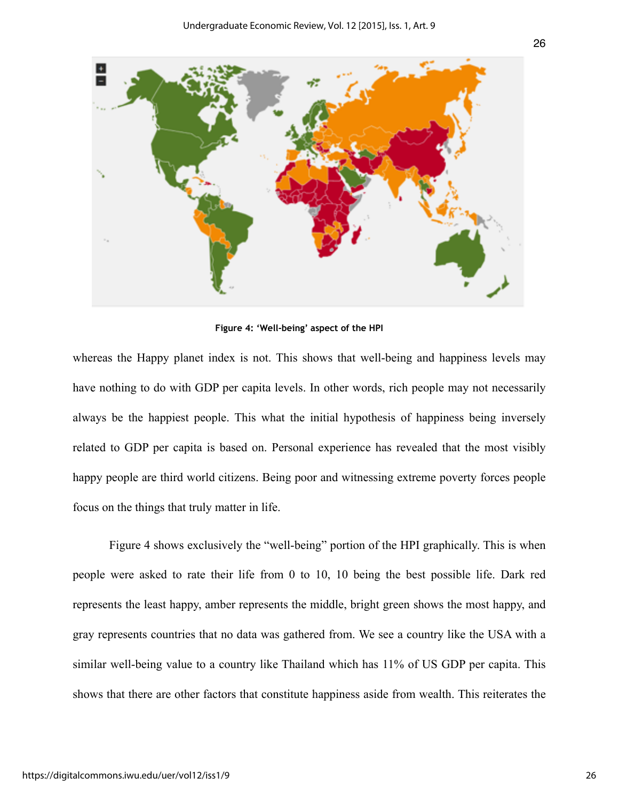

**Figure 4: 'Well-being' aspect of the HPI** 

whereas the Happy planet index is not. This shows that well-being and happiness levels may have nothing to do with GDP per capita levels. In other words, rich people may not necessarily always be the happiest people. This what the initial hypothesis of happiness being inversely related to GDP per capita is based on. Personal experience has revealed that the most visibly happy people are third world citizens. Being poor and witnessing extreme poverty forces people focus on the things that truly matter in life.

 Figure 4 shows exclusively the "well-being" portion of the HPI graphically. This is when people were asked to rate their life from 0 to 10, 10 being the best possible life. Dark red represents the least happy, amber represents the middle, bright green shows the most happy, and gray represents countries that no data was gathered from. We see a country like the USA with a similar well-being value to a country like Thailand which has 11% of US GDP per capita. This shows that there are other factors that constitute happiness aside from wealth. This reiterates the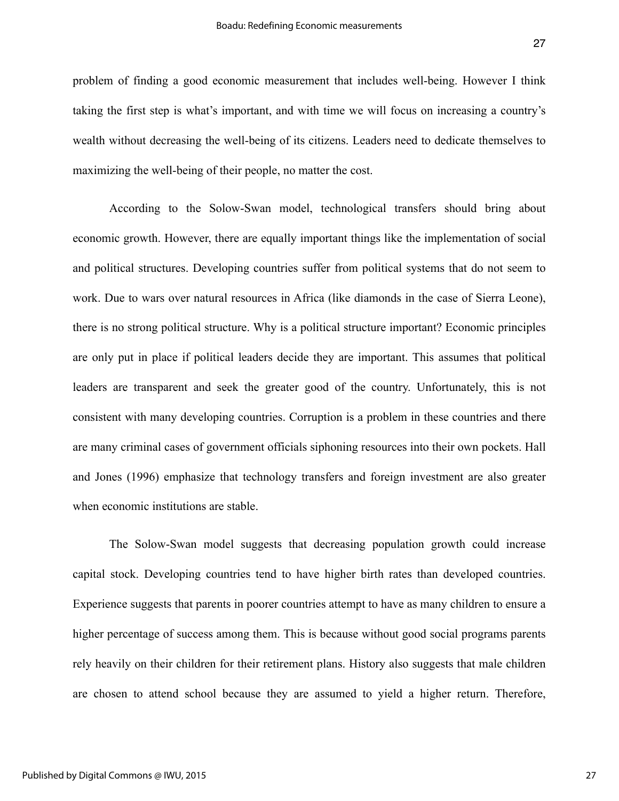problem of finding a good economic measurement that includes well-being. However I think taking the first step is what's important, and with time we will focus on increasing a country's wealth without decreasing the well-being of its citizens. Leaders need to dedicate themselves to maximizing the well-being of their people, no matter the cost.

According to the Solow-Swan model, technological transfers should bring about economic growth. However, there are equally important things like the implementation of social and political structures. Developing countries suffer from political systems that do not seem to work. Due to wars over natural resources in Africa (like diamonds in the case of Sierra Leone), there is no strong political structure. Why is a political structure important? Economic principles are only put in place if political leaders decide they are important. This assumes that political leaders are transparent and seek the greater good of the country. Unfortunately, this is not consistent with many developing countries. Corruption is a problem in these countries and there are many criminal cases of government officials siphoning resources into their own pockets. Hall and Jones (1996) emphasize that technology transfers and foreign investment are also greater when economic institutions are stable.

The Solow-Swan model suggests that decreasing population growth could increase capital stock. Developing countries tend to have higher birth rates than developed countries. Experience suggests that parents in poorer countries attempt to have as many children to ensure a higher percentage of success among them. This is because without good social programs parents rely heavily on their children for their retirement plans. History also suggests that male children are chosen to attend school because they are assumed to yield a higher return. Therefore,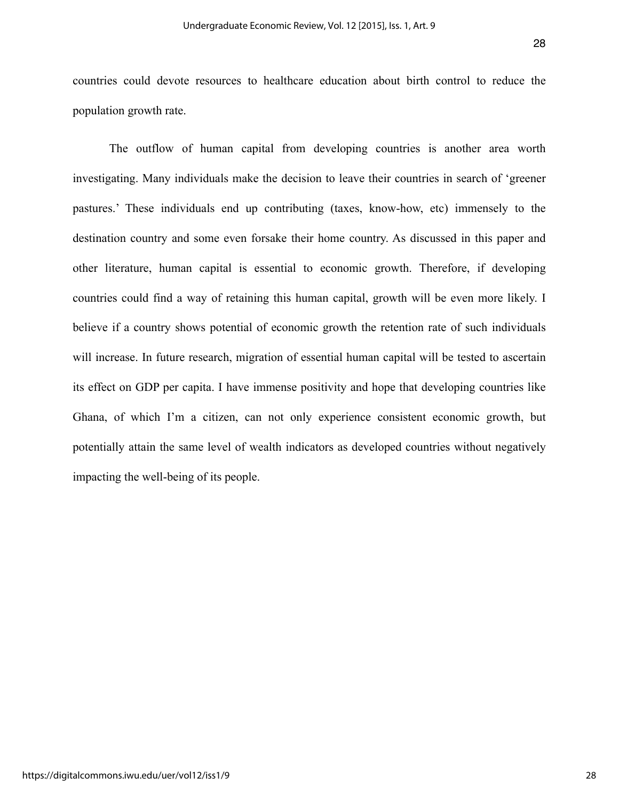countries could devote resources to healthcare education about birth control to reduce the population growth rate.

The outflow of human capital from developing countries is another area worth investigating. Many individuals make the decision to leave their countries in search of 'greener pastures.' These individuals end up contributing (taxes, know-how, etc) immensely to the destination country and some even forsake their home country. As discussed in this paper and other literature, human capital is essential to economic growth. Therefore, if developing countries could find a way of retaining this human capital, growth will be even more likely. I believe if a country shows potential of economic growth the retention rate of such individuals will increase. In future research, migration of essential human capital will be tested to ascertain its effect on GDP per capita. I have immense positivity and hope that developing countries like Ghana, of which I'm a citizen, can not only experience consistent economic growth, but potentially attain the same level of wealth indicators as developed countries without negatively impacting the well-being of its people.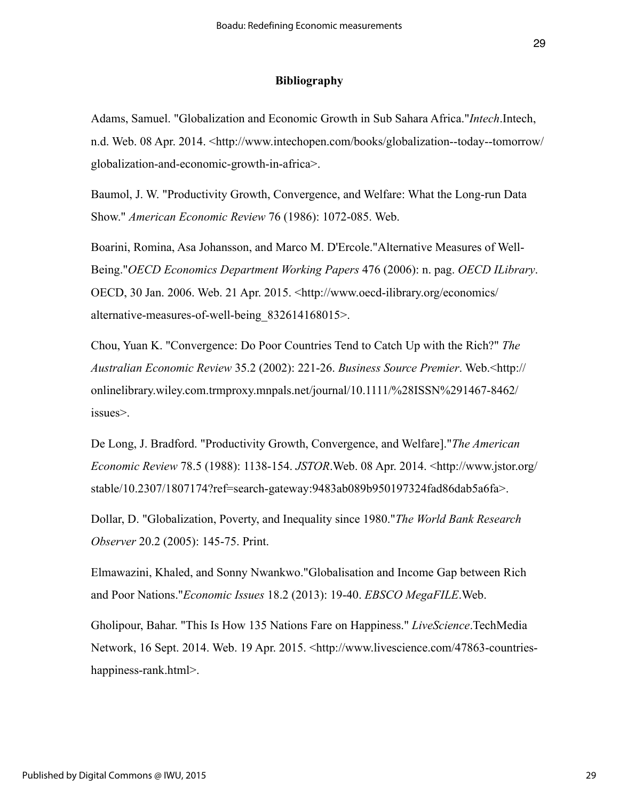#### **Bibliography**

Adams, Samuel. "Globalization and Economic Growth in Sub Sahara Africa."*Intech*.Intech, n.d. Web. 08 Apr. 2014. <http://www.intechopen.com/books/globalization--today--tomorrow/ globalization-and-economic-growth-in-africa>.

Baumol, J. W. "Productivity Growth, Convergence, and Welfare: What the Long-run Data Show." *American Economic Review* 76 (1986): 1072-085. Web.

Boarini, Romina, Asa Johansson, and Marco M. D'Ercole."Alternative Measures of Well-Being."*OECD Economics Department Working Papers* 476 (2006): n. pag. *OECD ILibrary*. OECD, 30 Jan. 2006. Web. 21 Apr. 2015. <http://www.oecd-ilibrary.org/economics/ alternative-measures-of-well-being\_832614168015>.

Chou, Yuan K. "Convergence: Do Poor Countries Tend to Catch Up with the Rich?" *The Australian Economic Review* 35.2 (2002): 221-26. *Business Source Premier*. Web.<http:// onlinelibrary.wiley.com.trmproxy.mnpals.net/journal/10.1111/%28ISSN%291467-8462/ issues>.

De Long, J. Bradford. "Productivity Growth, Convergence, and Welfare]."*The American Economic Review* 78.5 (1988): 1138-154. *JSTOR*.Web. 08 Apr. 2014. <http://www.jstor.org/ stable/10.2307/1807174?ref=search-gateway:9483ab089b950197324fad86dab5a6fa>.

Dollar, D. "Globalization, Poverty, and Inequality since 1980."*The World Bank Research Observer* 20.2 (2005): 145-75. Print.

Elmawazini, Khaled, and Sonny Nwankwo."Globalisation and Income Gap between Rich and Poor Nations."*Economic Issues* 18.2 (2013): 19-40. *EBSCO MegaFILE*.Web.

Gholipour, Bahar. "This Is How 135 Nations Fare on Happiness." *LiveScience*.TechMedia Network, 16 Sept. 2014. Web. 19 Apr. 2015. <http://www.livescience.com/47863-countrieshappiness-rank.html>.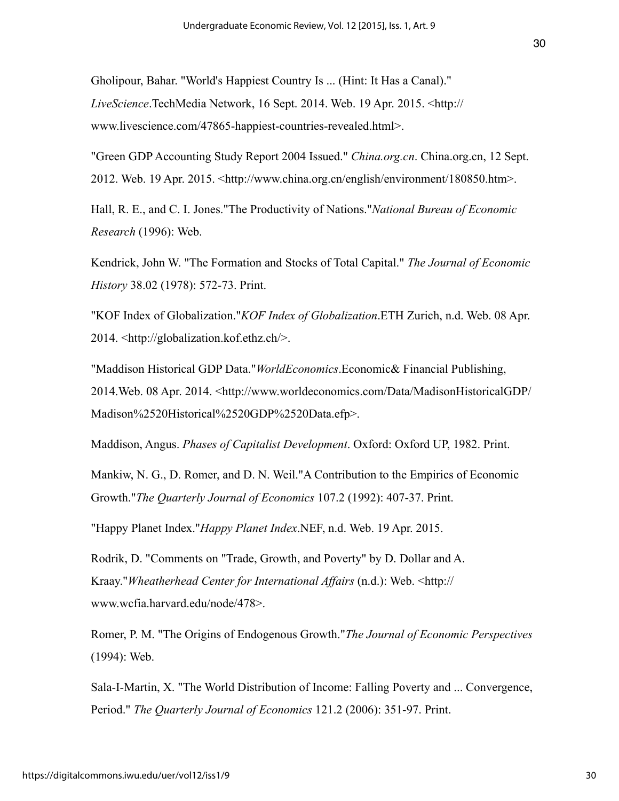Gholipour, Bahar. "World's Happiest Country Is ... (Hint: It Has a Canal)." *LiveScience*.TechMedia Network, 16 Sept. 2014. Web. 19 Apr. 2015. <http:// www.livescience.com/47865-happiest-countries-revealed.html>.

"Green GDP Accounting Study Report 2004 Issued." *China.org.cn*. China.org.cn, 12 Sept. 2012. Web. 19 Apr. 2015.  $\langle$ http://www.china.org.cn/english/environment/180850.htm>.

Hall, R. E., and C. I. Jones."The Productivity of Nations."*National Bureau of Economic Research* (1996): Web.

Kendrick, John W. "The Formation and Stocks of Total Capital." *The Journal of Economic History* 38.02 (1978): 572-73. Print.

"KOF Index of Globalization."*KOF Index of Globalization*.ETH Zurich, n.d. Web. 08 Apr. 2014. <http://globalization.kof.ethz.ch/>.

"Maddison Historical GDP Data."*WorldEconomics*.Economic& Financial Publishing, 2014.Web. 08 Apr. 2014. <http://www.worldeconomics.com/Data/MadisonHistoricalGDP/ Madison%2520Historical%2520GDP%2520Data.efp>.

Maddison, Angus. *Phases of Capitalist Development*. Oxford: Oxford UP, 1982. Print.

Mankiw, N. G., D. Romer, and D. N. Weil."A Contribution to the Empirics of Economic Growth."*The Quarterly Journal of Economics* 107.2 (1992): 407-37. Print.

"Happy Planet Index."*Happy Planet Index*.NEF, n.d. Web. 19 Apr. 2015.

Rodrik, D. "Comments on "Trade, Growth, and Poverty" by D. Dollar and A. Kraay."*Wheatherhead Center for International Affairs* (n.d.): Web. <http:// www.wcfia.harvard.edu/node/478>.

Romer, P. M. "The Origins of Endogenous Growth."*The Journal of Economic Perspectives* (1994): Web.

Sala-I-Martin, X. "The World Distribution of Income: Falling Poverty and ... Convergence, Period." *The Quarterly Journal of Economics* 121.2 (2006): 351-97. Print.